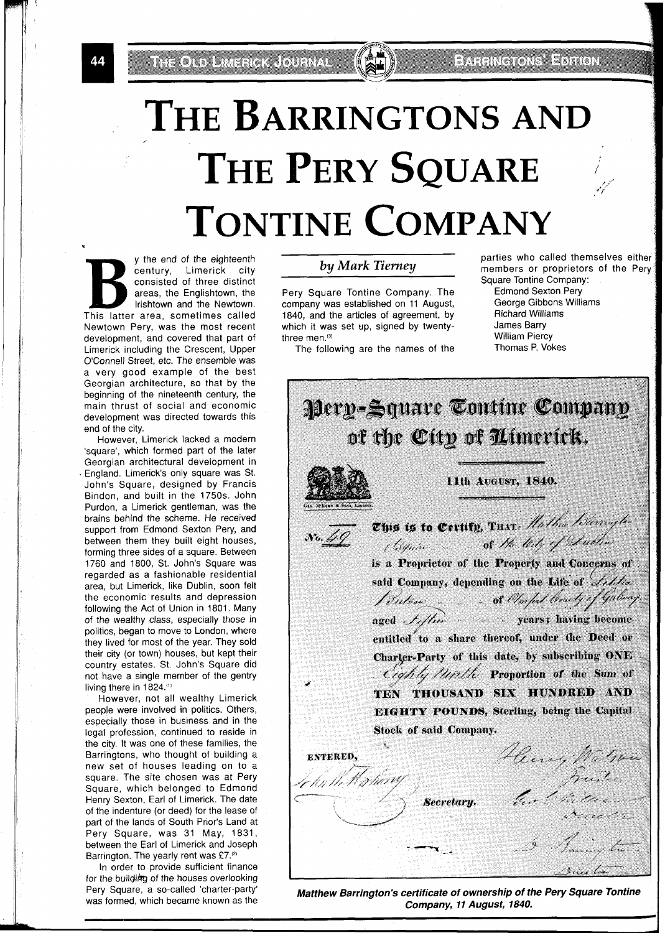# **THE BARRINGTONS AND**  THE PERY SQUARE **TONTINE COMPANY**

.I y the end of the eighteenth century, Limerick city consisted of three distinct areas, the Englishtown, the lrishtown and the Newtown. This latter area, sometimes called Newtown Pery, was the most recent development, and covered that part of Limerick including the Crescent, Upper O'Connell Street, etc. The ensemble was a very good example of the best Georgian architecture, so that by the beginning of the nineteenth century, the main thrust of social and economic development was directed towards this end of the city.

However, Limerick lacked a modern 'square', which formed part of the later Georgian architectural development in England. Limerick's only square was St. John's Square, designed by Francis Bindon, and built in the 1750s. John Purdon, a Limerick gentleman, was the brains behind the scheme. He received support from Edmond Sexton Pery, and between them they built eight houses, forming three sides of a square. Between 1760 and 1800, St. John's Square was regarded as a fashionable residential area, but Limerick, like Dublin, soon felt the economic results and depression following the Act of Union in 1801. Many of the wealthy class, especially those in politics, began to move to London, where they lived for most of the year. They sold their city (or town) houses, but kept their country estates. St. John's Square did not have a single member of the gentry living there in 1824."'

However, not all wealthy Limerick people were involved in politics. Others, especially those in business and in the legal profession, continued to reside in the city. It was one of these families, the Barringtons, who thought of building a new set of houses leading on to a square. The site chosen was at Pery Square, which belonged to Edmond Henry Sexton, Earl of Limerick. The date of the indenture (or deed) for the lease of part of the lands of South Prior's Land at Pery Square, was 31 May, 1831, between the Earl of Limerick and Joseph Barrington. The yearly rent was £7.<sup>(2)</sup>

In order to provide sufficient finance for the building of the houses overlooking Pery Square, a so-called 'charter-party' was formed, which became known as the

Pery Square Tontine Company. The Edmond Sexton Pery<br>
company was established on 11 August. George Gibbons Williams company was established on 11 August, George Gibbons<br>1840, and the articles of agreement, by Richard Williams 1840, and the articles of agreement, by Richard Williams Rational Williams Sharp Richard Williams Rational Sharp Reserves which it was set up, signed by twenty-<br>three men.<sup>(3)</sup>

The following are the names of the

**by Mark Tierney butter by Mark Tierney butter by Mark Tierney** *members or proprietors of the Perv* Square Tontine Company:

William Piercy<br>Thomas P. Vokes

**Pery-Square Tontine Company** of the City of Uimerick. 11th August, 1840. This is to Certity, Tuxe. Hather televisy to (Squire of the lety of Dublin is a Proprietor of the Property and Concerns of said Company, depending on the Life of Little Bution ... of Omfort brushy of Galway entitled to a share thereof, under the Deed or Charter-Party of this date, by subscribing ONE Cighly Minth Proportion of the Sum of TEN THOUSAND SIX HUNDRED AND **EIGHTY POUNDS, Sterling, being the Capital** Stock of said Company. Henry Walner **ENTERED,** le lin the fly horry Secretary. Same for

**Matthew Barrington's certificate of ownership of the Pery Square Tontine Company, 11 August, 1840.** 

44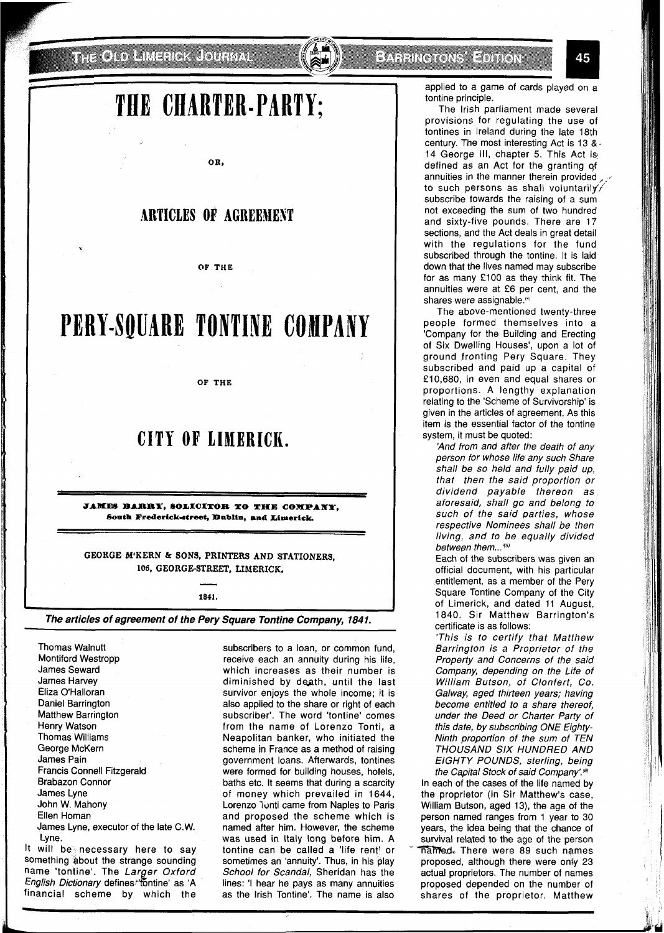**THE CLID LIMERIOK JOURNAL** 

### **TIfE CIIARTER-PARTY;**

**0 R,** 

### **ARTICLES OF ACREEBIEST**

**OF THE** 

## **PERY-SQUARE TONTINE COMPANY**

**OF THE** 

### **CITY OF LIMERICK.**

**JAMES BARBY, SOLICITOR TO THE COMPANY,** South Frederick-street, Dublin, and Limerick.

**GEORGE M'KERN dr SONS, PRINTERS AND STATIONERS, 106, GEORGE-STREET, LIMERICK.**  -

**1841.** 

#### **The articles of agreement of the Pery Square Tontine Company, 1841.**

Thomas Walnutt Montiford Westropp James Seward James Harvey Eliza O'Halloran Daniel Barrington Matthew Barrington Henry Watson Thomas Williams George McKern James Pain Francis Connell Fitzgerald Brabazon Connor James Lyne John W. Mahony Ellen Homan James Lyne, executor of the late C.W. Lyne. It will be necessary here to say

something about the strange sounding name 'tontine'. The Larger Oxford English Dictionary defines fontine' as 'A financial scheme by which the

subscribers to a loan, or common fund, receive each an annuity during his life, which increases as their number is diminished by death, until the last survivor enjoys the whole income; it is also applied to the share or right of each subscriber'. The word 'tontine' comes from the name of Lorenzo Tonti, a Neapolitan banker, who initiated the scheme in France as a method of raising government loans. Afterwards, tontines were formed for building houses, hotels, baths etc. It seems that during a scarcity of money which prevailed in 1644, Lorenzo Tonti came from Naples to Paris and proposed the scheme which is named after him. However, the scheme was used in Italy long before him. A tontine can be called a 'life rent! or sometimes an 'annuity'. Thus, in his play School for Scandal, Sheridan has the lines: 'l hear he pays as many annuities as the lrish Tontine'. The name is also

applied to a game of cards played on a tontine principle.

The lrish parliament made several provisions for regulating the use of tontines in Ireland during the late 18th century. The most interesting Act is 13 &. 14 George III, chapter 5. This Act is defined as an Act for the granting of annuities in the manner therein provided, to such persons as shall voluntarily's subscribe towards the raising of a sum not exceeding the sum of two hundred and sixty-five pounds. There are 17 sections, and the Act deals in great detail with the regulations for the fund subscribed through the tontine. It is laid down that the lives named may subscribe for as many £100 as they think fit. The annuities were at £6 per cent, and the shares were assignable.<sup>(4)</sup>

The above-mentioned twenty-three people formed themselves into a 'Company for the Building and Erecting of Six Dwelling Houses', upon a lot of ground fronting Pery Square. They subscribed and paid up a capital of £ 10,680, in even and equal shares or proportions. A lengthy explanation relating to the 'Scheme of Survivorship' is given in the articles of agreement. As this item is the essential factor of the tontine system, it must be quoted:

'And from and after the death of any person for whose life any such Share shall be so held and fully paid up, that then the said proportion or dividend payable thereon as aforesaid, shall go and belong to such of the said parties, whose respective Nominees shall be then living, and to be equally divided between them...<sup>(5)</sup>

Each of the subscribers was given an official document, with his particular entitlement, as a member of the Pery Square Tontine Company of the City of Limerick, and dated 11 August, 1840. Sir Matthew Barrington's certificate is as follows:

'This is to certify that Matthew Barrington is a Proprietor of the Property and Concerns of the said Company, depending on the Life of William Butson, of Clonfert, Co. Galway, aged thirteen years; having become entitled to a share thereof, under the Deed or Charter Party of this date, by subscribing ONE Eighty-Ninth proportion of the sum of TEN THOUSAND SIX HUNDRED AND EIGHTY POUNDS, sterling, being the Capital Stock of said Company'.<sup>(6)</sup>

In each of the cases of the life named by the proprietor (in Sir Matthew's case, William Butson, aged 13), the age of the person named ranges from 1 year to 30 years, the idea being that the chance of survival related to the age of the person  $m$ amed. There were 89 such names proposed, although there were only 23 actual proprietors. The number of names proposed depended on the number of shares of the proprietor. Matthew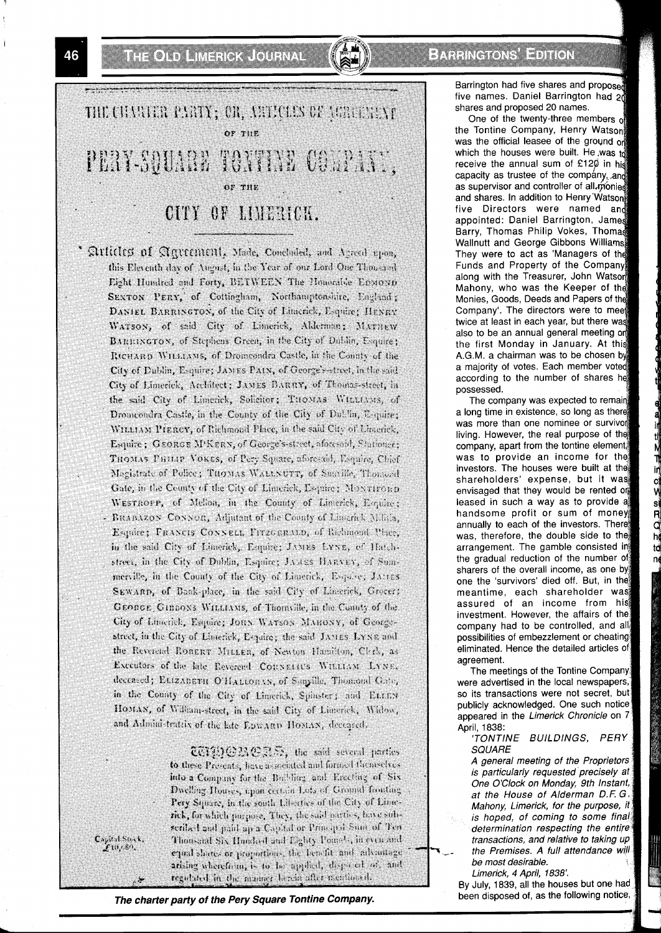THE OLD LINEROK JOURNAL





' Articles of Agreement, Made, Concluded, and Agreed upon, this Eleventh day of August, in the Year of our Lord One Thousand Eight Hundred and Forty, BETWEEN The Honorable EDMOND SEXTON PERY, of Cottingham, Northamptonshire, England; DANIEL BARRINGTON, of the City of Limerick, Esquire; HENRY WATSON, of said City of Limerick, Alderman; MATHEW BARRINGTON, of Stephens Green, in the City of Dublin, Esquire; RICHARD WILLIAMS, of Dromcondra Castle, in the County of the City of Dublin, Esquire; JAMES PAIN, of George's-street, in the said City of Limerick, Architect; JAMES BARRY, of Thomas-street, in the said City of Limerick, Solicitor; THOMAS WILLIAMS, of Dromcondra Castle, in the County of the City of Du! 'in, E-quire; WILLIAM PIERCY, of Richmond Place, in the said City of Limerick, Esquire; GEORGE M'KERN, of George's-street, aforesaid, Stationer; THOMAS PHILIP VOKES, of Pery Square, afore-aid, Esquire, Chief Magistrate of Police; THOMAS WALLNUTT, of Sumille, Thomasd Gate, in the County of the City of Limerick, Esquire; MONTIFORD WESTROPP, of Mclion, in the County of Limerick, Esquire; - BRABAZON CONNOR, Adjutant of the County of Linerick Milita, Esquire; FRANCIS CONNELL FITZGERALD, of Richmond Place, in the said City of Limerick, Esquire; JAMES LYNE, of Hatchstreet, in the City of Dublin, Esquire; JAMES HARVEY, of Summerville, in the County of the City of Limerick, Espaire; JAMES SEWARD, of Bank-place, in the said City of Linecick, Grocer; GEORGE GIRBONS WILLIAMS, of Thornville, in the Connty of the City of Limerick, Esquire; JORN WATSON MARONY, of Georgestreet, in the City of Limerick, Espaire; the said JAMES LYNE and the Reverend ROBERT MILLER, of Newton Hamilton, Clark, as Executors of the late Reverend CORNELIUS WILLIAM LYNE, deceased; ELIZABETH O'HALLORAN, of Sanyille, Thomond Gave, in the County of the City of Limerick, Spinster; and ELLEN HOMAN, of William-street, in the said City of Lincerick, Widow, and Administratrix of the late EDWARD HOMAN, deceased.

> **COPDGESCE**, the said several parties to these Presents, have associated and formed themselves into a Company for the Bushing and Erecting of Six Dwelling Houses, upon certain Lots of Ground fronting Pery Square, in the south Liberties of the City of Liberrick, for which purpose, They, the said parties, have subscribed and paid up a Capital or Principal Sum of Ten-Thousand Six Hundred and Eighty Pounds, in even and equal shares or proportions, the benefit and advantage arising wherefoun, is to be applied, disposed of, and regulated in the manner berein after useational.

Capital Sock,

**The charter party of the Pery Square Tontine Company. been disposed of, as the following notice,** 

Barrington had five shares and proposed five names. Daniel Barrington had 20 shares and proposed 20 names.

One of the twenty-three members of the Tontine Company, Henry Watson was the official leasee of the ground on which the houses were built. He was  $t_0^3$ receive the annual sum of £120 in his capacity as trustee of the company, and as supervisor and controller of all monies and shares. In addition to Henry Watson five Directors were named an appointed: Daniel Barrington, Jam Barry, Thomas Philip Vokes, Thom Wallnutt and George Gibbons Williams They were to act as 'Managers of the Funds and Property of the Company along with the Treasurer, John Watson Mahony, who was the Keeper of the Monies, Goods, Deeds and Papers of Company'. The directors were to me twice at least in each year, but there wa also to be an annual general meeting o the first Monday in January. At thi A.G.M. a chairman was to be chosen by a majority of votes. Each member vote according to the number of shares he possessed.

The company was expected to remai a long time in existence, so long as the was more than one nominee or survivor living. However, the real purpose of the] company, apart from the tontine element was to provide an income for thej investors. The houses were built at the: shareholders' expense, but it was envisaged that they would be rented or leased in such a way as to provide aj handsome profit or sum of money annually to each of the investors. There was, therefore, the double side to the arrangement. The gamble consisted in! the gradual reduction of the number of sharers of the overall income, as one by one the 'survivors' died off. But, in the' meantime, each shareholder was assured of an income from his investment. However, the affairs of the company had to be controlled, and all possibilities of embezzlement or cheating eliminated. Hence the detailed articles of agreement.

si<br>Q

 $\mathsf{h}$ 

td

The meetings of the Tontine Company were advertised in the local newspapers, so its transactions were not secret, but publicly acknowledged. One such notice appeared in the Limerick Chronicle on **7**  April, 1838:

'TONTINE BUILDINGS, PERY **SQUARE** 

A general meeting of the Proprietors is particularly requested precisely at One O'Clock on Monday, 9th Instant, at the House of Alderman D.F. G. Mahony, Limerick, for the purpose, it is hoped, of coming to some final determination respecting the entire transactions, and relative to taking up be most desirable. Limerick, 4 April, 1838'.

By July, 1839, all the houses but one had